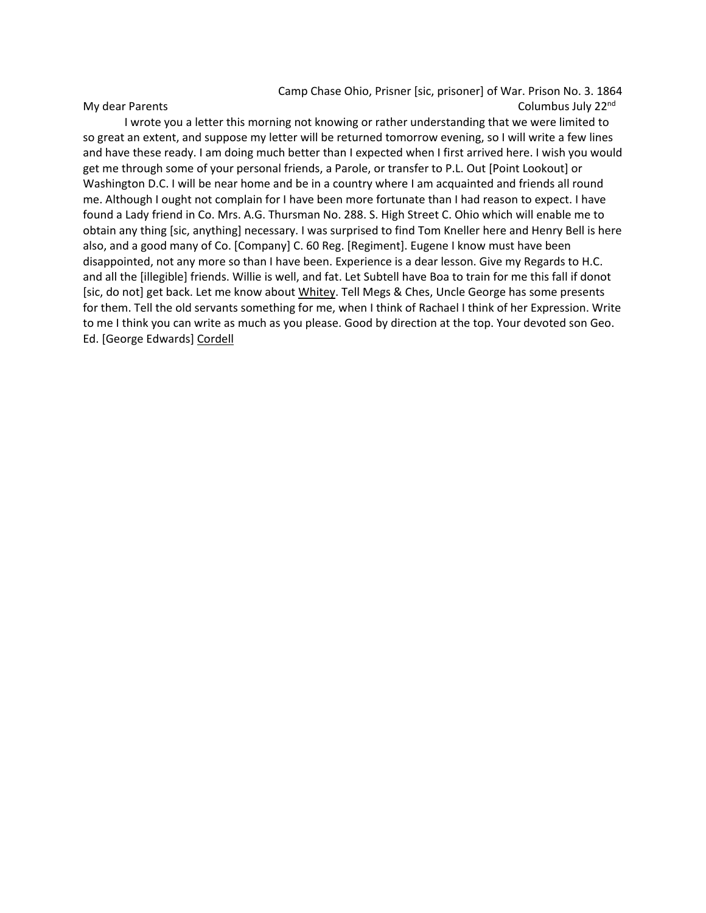Camp Chase Ohio, Prisner [sic, prisoner] of War. Prison No. 3. 1864 My dear Parents **Columbus July 22nd** Columbus July 22<sup>nd</sup> 22<sup>nd</sup>

I wrote you a letter this morning not knowing or rather understanding that we were limited to so great an extent, and suppose my letter will be returned tomorrow evening, so I will write a few lines and have these ready. I am doing much better than I expected when I first arrived here. I wish you would get me through some of your personal friends, a Parole, or transfer to P.L. Out [Point Lookout] or Washington D.C. I will be near home and be in a country where I am acquainted and friends all round me. Although I ought not complain for I have been more fortunate than I had reason to expect. I have found a Lady friend in Co. Mrs. A.G. Thursman No. 288. S. High Street C. Ohio which will enable me to obtain any thing [sic, anything] necessary. I was surprised to find Tom Kneller here and Henry Bell is here also, and a good many of Co. [Company] C. 60 Reg. [Regiment]. Eugene I know must have been disappointed, not any more so than I have been. Experience is a dear lesson. Give my Regards to H.C. and all the [illegible] friends. Willie is well, and fat. Let Subtell have Boa to train for me this fall if donot [sic, do not] get back. Let me know about Whitey. Tell Megs & Ches, Uncle George has some presents for them. Tell the old servants something for me, when I think of Rachael I think of her Expression. Write to me I think you can write as much as you please. Good by direction at the top. Your devoted son Geo. Ed. [George Edwards] Cordell